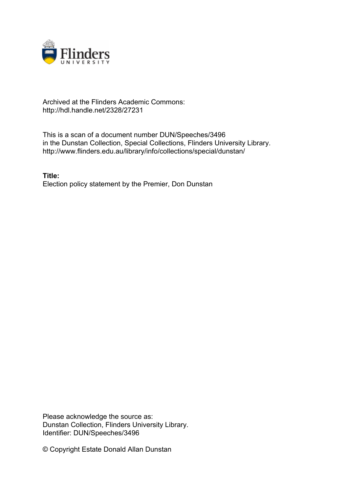

## Archived at the Flinders Academic Commons: http://hdl.handle.net/2328/27231

This is a scan of a document number DUN/Speeches/3496 in the Dunstan Collection, Special Collections, Flinders University Library. http://www.flinders.edu.au/library/info/collections/special/dunstan/

**Title:** Election policy statement by the Premier, Don Dunstan

Please acknowledge the source as: Dunstan Collection, Flinders University Library. Identifier: DUN/Speeches/3496

© Copyright Estate Donald Allan Dunstan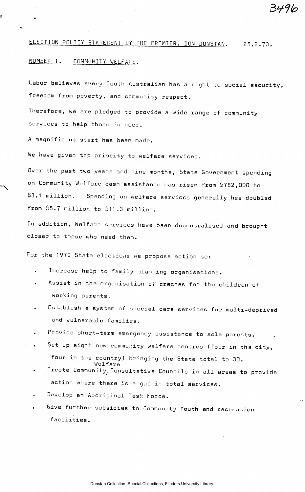# ELECTION POLICY STATEMENT BY THE PREMIER, DON DUNSTAN. 25.2.73.

3V76

## NUMBER 1. COMMUNITY WELFARE.

Labor believes every South Australian has a right to social security, freedom from poverty, and community respect.

Therefore, we are pledged to provide a wide range of community services to help those in need.

A magnificent start has been made.

We have given top priority to welfare services.

Over the past two years and nine months, State Government spending on Community Welfare cash assistance has risen from \$782,000 to  $$3.1$  million. Spending on welfare services generally has doubled from \$5.7 million to \$11.3 million.

In addition, Welfare services have been decentralised and brought closer to those who need them.

For the 1973 State elections we propose action to:

- Increase help to family planning organisations.
- Assist in the organisation of creches for the children of working parents.
- Establish a system of special care services for multi-deprived and vulnerable families.
- Provide short-term emergency assistance to sole parents.
- Set up eight new community welfare centres (four in the city, four in the country) bringing the State total to 30. Welfare
- Create Community, Consultative Councils in all areas to provide action where there is a gap in total services.
- Develop an Aboriginal Task Force.
- Give further subsidies to Community Youth and recreation facilities.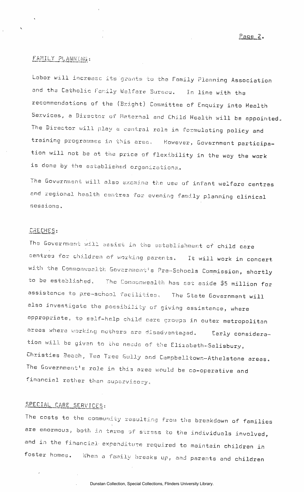## FAMILY PLANNING:

Labor will increase its grants to the Family Planning Association and the Catholic Family Welfare Bureau. In line with the recommendations of the (Bright) Committee of Enquiry into Health Services, a Director of Maternal and Child Health will be appointed. The Director will play a central rols in formulating policy and training programmes in this area. However, Government participation will not be at the price of flexibility in the way the work is dons by the established organizations.

The Government will also examine the use of infant welfare centres and regional health centres for evening family planning clinical sessions.

#### CRECHES:

The Government will assist in the establishment of child care centres for children of working parents. It will work in concert with the Commonwealth Government's Pre-Schools Commission, shortly to be established. The Commonwealth has set aside \$5 million for assistance to pre-school facilities. The State Government will also investigate the possibility of giving assistance, where appropriate, to self-help child care groups in outer metropolitan areas where working mothers are disadvantaged. Early consideration will be given to the needs of the Elizabeth-Salisbury, Christies Beach, Tea Tree Gully and Campbelltown-Athelstone areas. The Government's role in this area would be co-operative and financial rather than supervisory,

# SPECIAL CARE SERVICES:

The costs to the community resulting from the breakdown of families are enormous, both in terms of stress to the individuals involved, and in the financial, expenditure required to maintain children in foster homes. When a family breaks up, and parents and children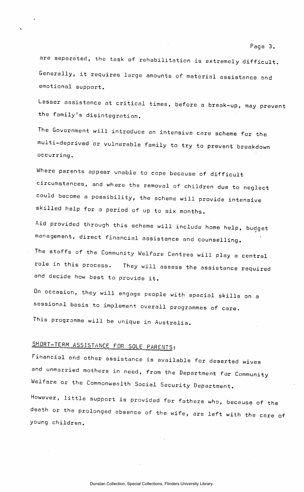are separated, the task of rehabilitation is extremely difficult. Generally, it requires large amounts of material assistance and emotional support.

Lesser assistance at critical times, before a break-up, may prevent the family's disintegration.

The Government will introduce an intensive care scheme for the multi-deprived or vulnerable family to try to prevent breakdown occurring.

Where parents appear unable to cope because of difficult circumstances, and where the removal of children due to neglect could become a possibility, the scheme will provide intensive skilled help for a period of up to six months.

Aid provided through this scheme will include home help, budget management, direct financial assistance and counselling.

The staffs of the Community Welfare Centres will play a central role in this process. They will assess the assistance required and decide how best to provide it.

On occasion, they will engage people with special skills on a sessional basis to implement overall programmes of care.

SHORT-TERM ASSISTANCE FOR SOLE PARENTS:<br>Financial and other assistance is available for deserted wives and unmarried mothers in need, from the Department for Community Welfare or the Commonwealth Social Security Department. Welfare or the Commonwealth Social Security Department. However, little support is provided for fatherswho, because of the death or the prolonged absence of the wife, are left with the care of young children.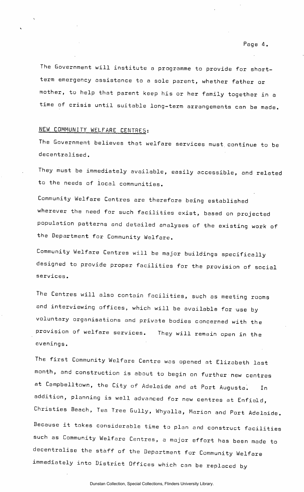The Government will institute a programme to provide for shortterm emergency assistance to a sole parent, whether father or mother, to help that parent keep his or her family together in a time of crisis until suitable long-term arrangements can be made.

# NEW COMMUNITY WELFARE CENTRES:

The Government believes that welfare services must, continue to be decentralised.

They must be immediately available, easily accessible, and related to the needs of local communities.

Community Welfare Centres are therefore being established wherever the need for such facilities exist, based on projected population patterns and detailed analyses of the existing work of the Department for Community Welfare.

Community Welfare Centres will be major buildings specifically designed to provide proper facilities for the provision of social services.

The Centres will also contain facilities, such as meeting rooms and interviewing offices, which will be available for use by voluntary organisations and private bodies concerned with the provision of welfare services. They will remain open in the evenings.

The first Community Welfare Centre was opened at Elizabeth last month, and construction is about to begin on further new centres at Campbelltown, the City of Adelaide and at Port Augusta. In addition, planning is well advanced for new centres at Enfield, Christies Beach, Tea Tree Gully, Whyalla, Marion and Port Adelaide. Because it takes considerable time to plan and construct facilities such as Community Welfare Centres, a major effort has been made to decentralise the staff of the Department for Community Welfare immediately into District Offices which can be replaced by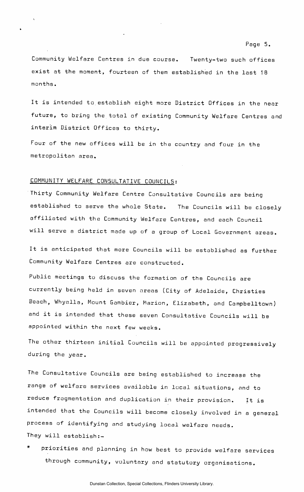Community Welfare Centres in due course. Twenty-two such offices exist at the moment, fourteen of them established in the last 18 months.

It is intended to establish eight more District Offices in the near future, to bring the total of existing Community Welfare Centres and interim District Offices to thirty.

Four of the new offices will be in the country and four in the metropolitan area.

#### COMMUNITY WELFARE CONSULTATIVE COUNCILS:

Thirty Community Welfare Centre Consultative Councils are being established to serve the whole State. The Councils will be closely affiliated with the Community Welfare Centres, and each Council will serve a district made up of a group of Local Government areas.

It is anticipated that more Councils will be established as further Community Welfare Centres are constructed.

Public meetings to discuss the formation of the Councils are currently being held in seven areas (City of Adelaide, Christies Beach, Whyalla, Mount Gambier, Marion, Elizabeth, and Campbelltown) and it is intended that these seven Consultative Councils will be appointed within the next few weeks.

The other thirteen initial Councils will be appointed progressively during the year.

The Consultative Councils are being established to increase the range of welfare services available in local situations, and to reduce fragmentation and duplication in their provision. It is intended that the Councils will become closely involved in a general process of identifying and studying local welfare needs. They will establish:-

priorities and planning in how best to provide welfare services through community, voluntary and statutory organisations.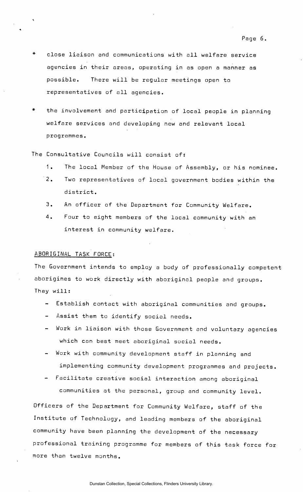- close liaison and communications with all welfare service agencies in their areas, operating in as open a manner as possible. There will be regular meetings open to representatives of all agencies.
- the involvement and participation of local people in planning welfare services and developing new and relevant local programmes.
- The Consultative Councils will consist of:
	- 1. The local Member of the House of Assembly, or his nominee.
	- 2. Two representatives of local government bodies within the district.
	- 3. An officer of the Department for Community Welfare.
	- 4. Four to eight members of the local community with an interest in community welfare.

### ABORIGINAL TASK FORCE:

The Government intends to employ a body of professionally competent aborigines to work directly with aboriginal people and groups. They will:

- Establish contact with aboriginal communities and groups.
- Assist them to identify social needs.
- Work in liaison with those Government and voluntary agencies which can best meet aboriginal social needs.
- Work with community development staff in planning and implementing community development programmes and projects.
- Facilitate creative social interaction among aboriginal communities at the personal, group and community level.

Officers of the Department for Community Welfare, staff of the Institute of Technology, and leading members of the aboriginal community have been planning the development of the necessary professional training programme for members of this task force for more than twelve months.